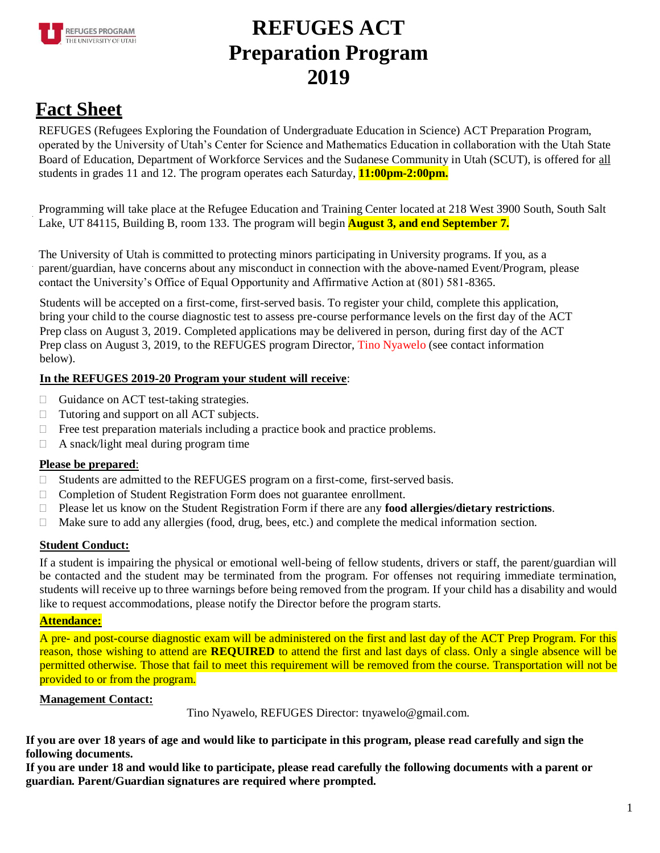

# **REFUGES ACT Preparation Program 2019**

## **Fact Sheet**

REFUGES (Refugees Exploring the Foundation of Undergraduate Education in Science) ACT Preparation Program, operated by the University of Utah's Center for Science and Mathematics Education in collaboration with the Utah State Board of Education, Department of Workforce Services and the Sudanese Community in Utah (SCUT), is offered for all students in grades 11 and 12. The program operates each Saturday, **11:00pm-2:00pm.**

Programming will take place at the Refugee Education and Training Center located at 218 West 3900 South, South Salt Lake, UT 84115, Building B, room 133. The program will begin **August 3, and end September 7.**

The University of Utah is committed to protecting minors participating in University programs. If you, as a parent/guardian, have concerns about any misconduct in connection with the above-named Event/Program, please contact the University's Office of Equal Opportunity and Affirmative Action at (801) 581-8365.

Students will be accepted on a first-come, first-served basis. To register your child, complete this application, bring your child to the course diagnostic test to assess pre-course performance levels on the first day of the ACT Prep class on August 3, 2019. Completed applications may be delivered in person, during first day of the ACT Prep class on August 3, 2019, to the REFUGES program Director, Tino Nyawelo (see contact information below).

### **In the REFUGES 2019-20 Program your student will receive**:

- $\Box$  Guidance on ACT test-taking strategies.
- □ Tutoring and support on all ACT subjects.
- $\Box$  Free test preparation materials including a practice book and practice problems.
- $\Box$  A snack/light meal during program time

### **Please be prepared**:

- Students are admitted to the REFUGES program on a first-come, first-served basis.
- □ Completion of Student Registration Form does not guarantee enrollment.
- Please let us know on the Student Registration Form if there are any **food allergies/dietary restrictions**.
- $\Box$  Make sure to add any allergies (food, drug, bees, etc.) and complete the medical information section.

### **Student Conduct:**

If a student is impairing the physical or emotional well-being of fellow students, drivers or staff, the parent/guardian will be contacted and the student may be terminated from the program. For offenses not requiring immediate termination, students will receive up to three warnings before being removed from the program. If your child has a disability and would like to request accommodations, please notify the Director before the program starts.

### **Attendance:**

A pre- and post-course diagnostic exam will be administered on the first and last day of the ACT Prep Program. For this reason, those wishing to attend are **REQUIRED** to attend the first and last days of class. Only a single absence will be permitted otherwise. Those that fail to meet this requirement will be removed from the course. Transportation will not be provided to or from the program.

### **Management Contact:**

Tino Nyawelo, REFUGES Director: tnyawelo@gmail.com.

**If you are over 18 years of age and would like to participate in this program, please read carefully and sign the following documents.**

**If you are under 18 and would like to participate, please read carefully the following documents with a parent or guardian. Parent/Guardian signatures are required where prompted.**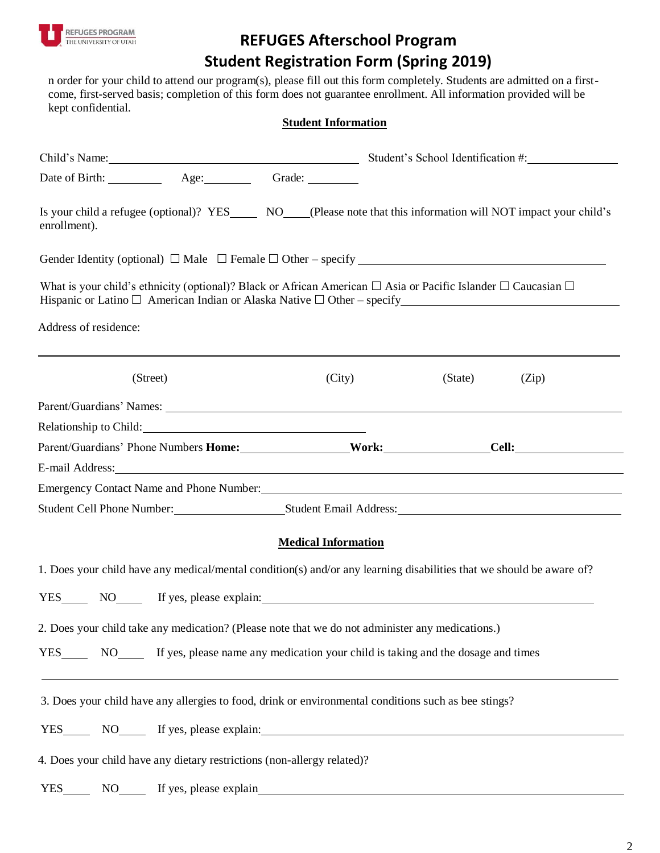

### **REFUGES Afterschool Program Student Registration Form (Spring 2019)**

n order for your child to attend our program(s), please fill out this form completely. Students are admitted on a firstcome, first-served basis; completion of this form does not guarantee enrollment. All information provided will be kept confidential.

#### **Student Information**

| Child's Name: Student's School Identification #:                                                                                     |  |  |                            |         |       |  |
|--------------------------------------------------------------------------------------------------------------------------------------|--|--|----------------------------|---------|-------|--|
|                                                                                                                                      |  |  |                            |         |       |  |
| Is your child a refugee (optional)? YES_______ NO____(Please note that this information will NOT impact your child's<br>enrollment). |  |  |                            |         |       |  |
|                                                                                                                                      |  |  |                            |         |       |  |
| What is your child's ethnicity (optional)? Black or African American $\Box$ Asia or Pacific Islander $\Box$ Caucasian $\Box$         |  |  |                            |         |       |  |
| Address of residence:                                                                                                                |  |  |                            |         |       |  |
| (Street)                                                                                                                             |  |  | (City)                     | (State) | (Zip) |  |
|                                                                                                                                      |  |  |                            |         |       |  |
|                                                                                                                                      |  |  |                            |         |       |  |
| Parent/Guardians' Phone Numbers Home: Work: Cell: Cell:                                                                              |  |  |                            |         |       |  |
| E-mail Address: No. 2016. The mail Address: No. 2016. The mail Address: No. 2016. The mail Address:                                  |  |  |                            |         |       |  |
| Emergency Contact Name and Phone Number:<br><u>Emergency Contact Name and Phone Number:</u>                                          |  |  |                            |         |       |  |
| Student Cell Phone Number: Student Email Address: Student Email Address:                                                             |  |  |                            |         |       |  |
|                                                                                                                                      |  |  | <b>Medical Information</b> |         |       |  |
| 1. Does your child have any medical/mental condition(s) and/or any learning disabilities that we should be aware of?                 |  |  |                            |         |       |  |
| YES NO If yes, please explain:                                                                                                       |  |  |                            |         |       |  |
|                                                                                                                                      |  |  |                            |         |       |  |
| 2. Does your child take any medication? (Please note that we do not administer any medications.)                                     |  |  |                            |         |       |  |
| YES NO If yes, please name any medication your child is taking and the dosage and times                                              |  |  |                            |         |       |  |
| 3. Does your child have any allergies to food, drink or environmental conditions such as bee stings?                                 |  |  |                            |         |       |  |
| YES NO If yes, please explain:                                                                                                       |  |  |                            |         |       |  |
| 4. Does your child have any dietary restrictions (non-allergy related)?                                                              |  |  |                            |         |       |  |
| YES NO If yes, please explain                                                                                                        |  |  |                            |         |       |  |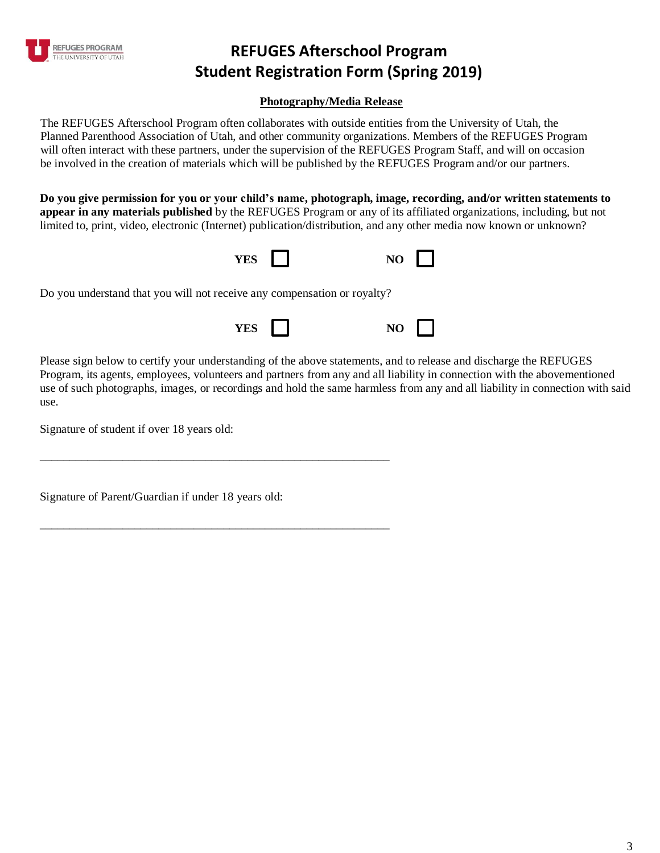

### **REFUGES Afterschool Program Student Registration Form (Spring 2019)**

#### **Photography/Media Release**

The REFUGES Afterschool Program often collaborates with outside entities from the University of Utah, the Planned Parenthood Association of Utah, and other community organizations. Members of the REFUGES Program will often interact with these partners, under the supervision of the REFUGES Program Staff, and will on occasion be involved in the creation of materials which will be published by the REFUGES Program and/or our partners.

**Do you give permission for you or your child's name, photograph, image, recording, and/or written statements to appear in any materials published** by the REFUGES Program or any of its affiliated organizations, including, but not limited to, print, video, electronic (Internet) publication/distribution, and any other media now known or unknown?



Do you understand that you will not receive any compensation or royalty?

\_\_\_\_\_\_\_\_\_\_\_\_\_\_\_\_\_\_\_\_\_\_\_\_\_\_\_\_\_\_\_\_\_\_\_\_\_\_\_\_\_\_\_\_\_\_\_\_\_\_\_\_\_\_\_\_\_\_\_

\_\_\_\_\_\_\_\_\_\_\_\_\_\_\_\_\_\_\_\_\_\_\_\_\_\_\_\_\_\_\_\_\_\_\_\_\_\_\_\_\_\_\_\_\_\_\_\_\_\_\_\_\_\_\_\_\_\_\_



Please sign below to certify your understanding of the above statements, and to release and discharge the REFUGES Program, its agents, employees, volunteers and partners from any and all liability in connection with the abovementioned use of such photographs, images, or recordings and hold the same harmless from any and all liability in connection with said use.

Signature of student if over 18 years old:

Signature of Parent/Guardian if under 18 years old: